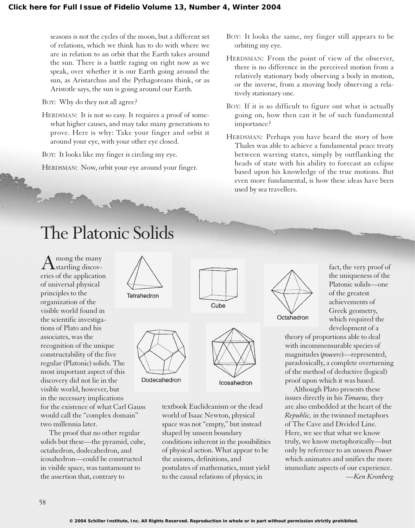seasons is not the cycles of the moon, but a different set of relations, which we think has to do with where we are in relation to an orbit that the Earth takes around the sun. There is a battle raging on right now as we speak, over whether it is our Earth going around the sun, as Aristarchus and the Pythagoreans think, or as Aristotle says, the sun is going around our Earth.

## BOY: Why do they not all agree?

HERDSMAN: It is not so easy. It requires a proof of somewhat higher causes, and may take many generations to prove. Here is why: Take your finger and orbit it around your eye, with your other eye closed.

BOY: It looks like my finger is circling my eye.

HERDSMAN: Now, orbit your eye around your finger.

- BOY: It looks the same, my finger still appears to be orbiting my eye.
- HERDSMAN: From the point of view of the observer, there is no difference in the perceived motion from a relatively stationary body observing a body in motion, or the inverse, from a moving body observing a relatively stationary one.
- BOY: If it is so difficult to figure out what is actually going on, how then can it be of such fundamental importance?
- HERDSMAN: Perhaps you have heard the story of how Thales was able to achieve a fundamental peace treaty between warring states, simply by outflanking the heads of state with his ability to forecast an eclipse based upon his knowledge of the true motions. But even more fundamental, is how these ideas have been used by sea travellers.

## The Platonic Solids

 $A<sub>startling</sub>$  discoveries of the application of universal physical principles to the organization of the visible world found in the scientific investigations of Plato and his associates, was the recognition of the unique constructability of the five regular (Platonic) solids. The most important aspect of this discovery did not lie in the visible world, however, but in the necessary implications for the existence of what Carl Gauss would call the "complex domain" two millennia later.

The proof that no other regular solids but these—the pyramid, cube, octahedron, dodecahedron, and icosahedron—could be constructed in visible space, was tantamount to the assertion that, contrary to



textbook Euclideanism or the dead world of Isaac Newton, physical space was not "empty," but instead shaped by unseen boundary conditions inherent in the possibilities of physical action. What appear to be the axioms, definitions, and postulates of mathematics, must yield to the causal relations of physics; in



Octahedron

fact, the very proof of the uniqueness of the Platonic solids—one of the greatest achievements of Greek geometry, which required the development of a

theory of proportions able to deal with incommensurable species of magnitudes (*powers*)—represented, paradoxically, a complete overturning of the method of deductive (logical) proof upon which it was based.

Although Plato presents these issues directly in his *Timaeus,* they are also embedded at the heart of the *Republic,* in the twinned metaphors of The Cave and Divided Line. Here, we see that what we know truly, we know metaphorically—but only by reference to an unseen *Power* which animates and unifies the more immediate aspects of our experience. *—Ken Kronberg*